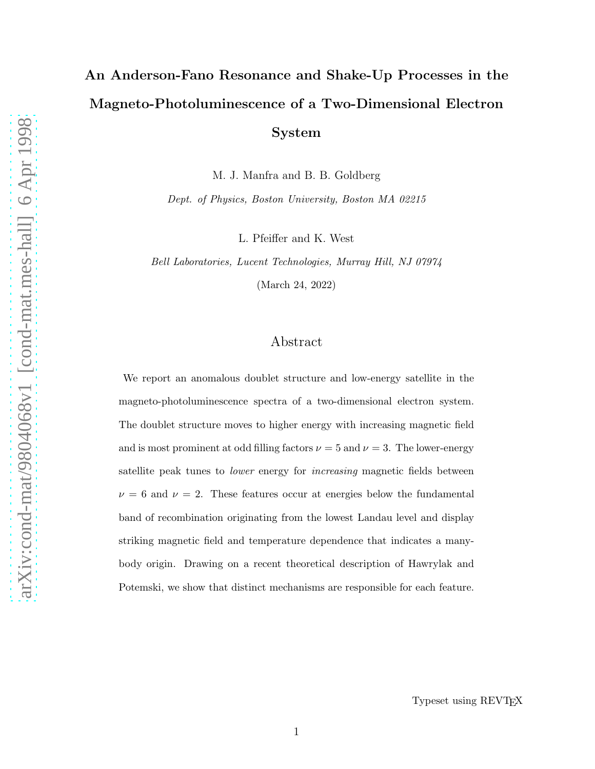# An Anderson-Fano Resonance and Shake-Up Processes in the Magneto-Photoluminescence of a Two-Dimensional Electron System

M. J. Manfra and B. B. Goldberg

Dept. of Physics, Boston University, Boston MA 02215

L. Pfeiffer and K. West

Bell Laboratories, Lucent Technologies, Murray Hill, NJ 07974

(March 24, 2022)

### Abstract

We report an anomalous doublet structure and low-energy satellite in the magneto-photoluminescence spectra of a two-dimensional electron system. The doublet structure moves to higher energy with increasing magnetic field and is most prominent at odd filling factors  $\nu = 5$  and  $\nu = 3$ . The lower-energy satellite peak tunes to *lower* energy for *increasing* magnetic fields between  $\nu = 6$  and  $\nu = 2$ . These features occur at energies below the fundamental band of recombination originating from the lowest Landau level and display striking magnetic field and temperature dependence that indicates a manybody origin. Drawing on a recent theoretical description of Hawrylak and Potemski, we show that distinct mechanisms are responsible for each feature.

Typeset using REVTEX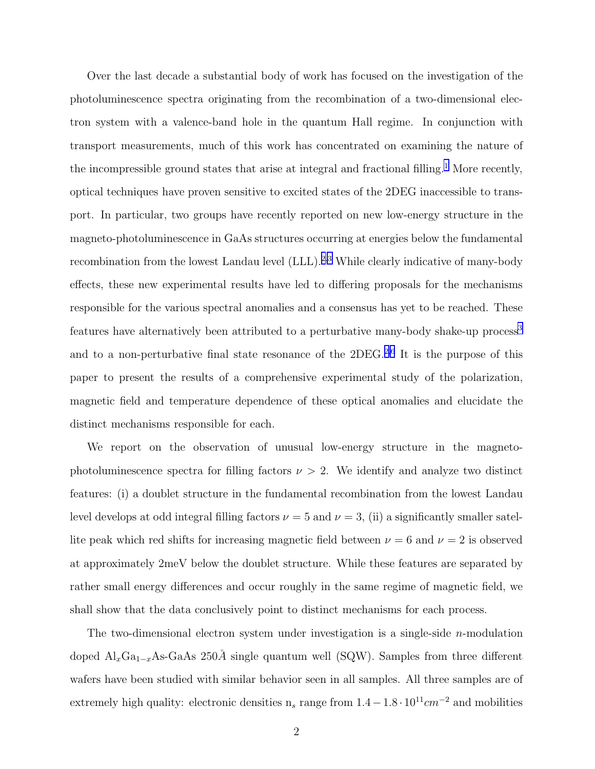Over the last decade a substantial body of work has focused on the investigation of the photoluminescence spectra originating from the recombination of a two-dimensional electron system with a valence-band hole in the quantum Hall regime. In conjunction with transport measurements, much of this work has concentrated on examining the nature of the incompressible ground states that arise at integral and fractional filling.<sup>[1](#page-7-0)</sup> More recently, optical techniques have proven sensitive to excited states of the 2DEG inaccessible to transport. In particular, two groups have recently reported on new low-energy structure in the magneto-photoluminescence in GaAs structures occurring at energies below the fundamental recombination from the lowest Landau level  $(LLL)$ .<sup>[2](#page-7-0),[3](#page-7-0)</sup> While clearly indicative of many-body effects, these new experimental results have led to differing proposals for the mechanisms responsible for the various spectral anomalies and a consensus has yet to be reached. These features have alternatively been attributed to a perturbative many-body shake-up process<sup>[3](#page-7-0)</sup> and to a non-perturbative final state resonance of the  $2DEG<sup>2,6</sup>$  $2DEG<sup>2,6</sup>$  $2DEG<sup>2,6</sup>$  $2DEG<sup>2,6</sup>$  It is the purpose of this paper to present the results of a comprehensive experimental study of the polarization, magnetic field and temperature dependence of these optical anomalies and elucidate the distinct mechanisms responsible for each.

We report on the observation of unusual low-energy structure in the magnetophotoluminescence spectra for filling factors  $\nu > 2$ . We identify and analyze two distinct features: (i) a doublet structure in the fundamental recombination from the lowest Landau level develops at odd integral filling factors  $\nu = 5$  and  $\nu = 3$ , (ii) a significantly smaller satellite peak which red shifts for increasing magnetic field between  $\nu = 6$  and  $\nu = 2$  is observed at approximately 2meV below the doublet structure. While these features are separated by rather small energy differences and occur roughly in the same regime of magnetic field, we shall show that the data conclusively point to distinct mechanisms for each process.

The two-dimensional electron system under investigation is a single-side  $n$ -modulation doped  $\text{Al}_x\text{Ga}_{1-x}\text{As-GaAs}$  250Å single quantum well (SQW). Samples from three different wafers have been studied with similar behavior seen in all samples. All three samples are of extremely high quality: electronic densities  $n_s$  range from  $1.4-1.8\cdot10^{11}cm^{-2}$  and mobilities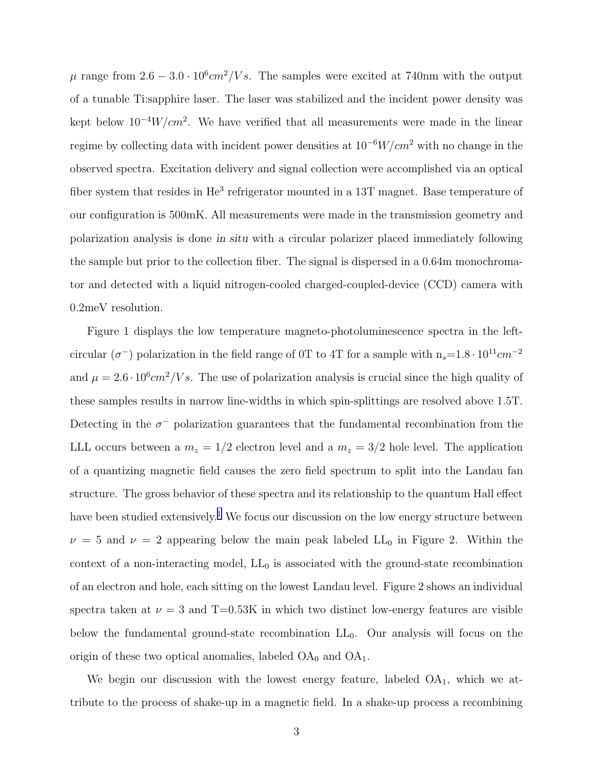$\mu$  range from  $2.6 - 3.0 \cdot 10^6$  cm<sup>2</sup>/Vs. The samples were excited at 740nm with the output of a tunable Ti:sapphire laser. The laser was stabilized and the incident power density was kept below  $10^{-4}W/cm^2$ . We have verified that all measurements were made in the linear regime by collecting data with incident power densities at  $10^{-6}W/cm^2$  with no change in the observed spectra. Excitation delivery and signal collection were accomplished via an optical fiber system that resides in He<sup>3</sup> refrigerator mounted in a 13T magnet. Base temperature of our configuration is 500mK. All measurements were made in the transmission geometry and polarization analysis is done in situ with a circular polarizer placed immediately following the sample but prior to the collection fiber. The signal is dispersed in a 0.64m monochromator and detected with a liquid nitrogen-cooled charged-coupled-device (CCD) camera with 0.2meV resolution.

Figure 1 displays the low temperature magneto-photoluminescence spectra in the leftcircular ( $\sigma^{-}$ ) polarization in the field range of 0T to 4T for a sample with  $n_s=1.8 \cdot 10^{11} cm^{-2}$ and  $\mu = 2.6 \cdot 10^6 cm^2/V s$ . The use of polarization analysis is crucial since the high quality of these samples results in narrow line-widths in which spin-splittings are resolved above 1.5T. Detecting in the  $\sigma^-$  polarization guarantees that the fundamental recombination from the LLL occurs between a  $m_z = 1/2$  electron level and a  $m_z = 3/2$  hole level. The application of a quantizing magnetic field causes the zero field spectrum to split into the Landau fan structure. The gross behavior of these spectra and its relationship to the quantum Hall effect have been studied extensively.<sup>[1](#page-7-0)</sup> We focus our discussion on the low energy structure between  $\nu = 5$  and  $\nu = 2$  appearing below the main peak labeled LL<sub>0</sub> in Figure 2. Within the context of a non-interacting model,  $LL_0$  is associated with the ground-state recombination of an electron and hole, each sitting on the lowest Landau level. Figure 2 shows an individual spectra taken at  $\nu = 3$  and T=0.53K in which two distinct low-energy features are visible below the fundamental ground-state recombination  $LL_0$ . Our analysis will focus on the origin of these two optical anomalies, labeled  $OA_0$  and  $OA_1$ .

We begin our discussion with the lowest energy feature, labeled  $OA<sub>1</sub>$ , which we attribute to the process of shake-up in a magnetic field. In a shake-up process a recombining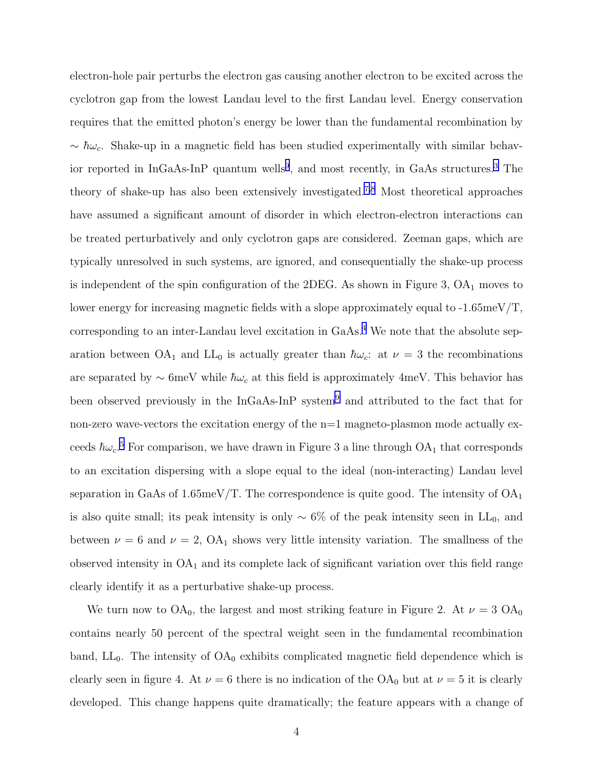electron-hole pair perturbs the electron gas causing another electron to be excited across the cyclotron gap from the lowest Landau level to the first Landau level. Energy conservation requires that the emitted photon's energy be lower than the fundamental recombination by  $\sim \hbar \omega_c$ . Shake-up in a magnetic field has been studied experimentally with similar behavior reported in  $InGaAs-InP$  quantum wells<sup>[9](#page-7-0)</sup>, and most recently, in GaAs structures.<sup>[3](#page-7-0)</sup> The theory of shake-up has also been extensively investigated.[7](#page-7-0),[8](#page-7-0) Most theoretical approaches have assumed a significant amount of disorder in which electron-electron interactions can be treated perturbatively and only cyclotron gaps are considered. Zeeman gaps, which are typically unresolved in such systems, are ignored, and consequentially the shake-up process is independent of the spin configuration of the 2DEG. As shown in Figure 3,  $OA<sub>1</sub>$  moves to lower energy for increasing magnetic fields with a slope approximately equal to -1.65meV/T, corresponding to an inter-Landau level excitation in  $GaAs<sup>4</sup>$  $GaAs<sup>4</sup>$  $GaAs<sup>4</sup>$  We note that the absolute separation between OA<sub>1</sub> and LL<sub>0</sub> is actually greater than  $\hbar\omega_c$ : at  $\nu = 3$  the recombinations are separated by  $\sim$  6meV while  $\hbar\omega_c$  at this field is approximately 4meV. This behavior has been observed previously in the InGaAs-InP system<sup>[9](#page-7-0)</sup> and attributed to the fact that for non-zero wave-vectors the excitation energy of the  $n=1$  magneto-plasmon mode actually exceeds  $\hbar \omega_c$ <sup>[5](#page-7-0)</sup> For comparison, we have drawn in Figure 3 a line through OA<sub>1</sub> that corresponds to an excitation dispersing with a slope equal to the ideal (non-interacting) Landau level separation in GaAs of 1.65meV/T. The correspondence is quite good. The intensity of  $OA<sub>1</sub>$ is also quite small; its peak intensity is only  $\sim 6\%$  of the peak intensity seen in LL<sub>0</sub>, and between  $\nu = 6$  and  $\nu = 2$ ,  $OA_1$  shows very little intensity variation. The smallness of the observed intensity in  $OA<sub>1</sub>$  and its complete lack of significant variation over this field range clearly identify it as a perturbative shake-up process.

We turn now to  $OA_0$ , the largest and most striking feature in Figure 2. At  $\nu = 3 OA_0$ contains nearly 50 percent of the spectral weight seen in the fundamental recombination band,  $LL_0$ . The intensity of  $OA_0$  exhibits complicated magnetic field dependence which is clearly seen in figure 4. At  $\nu = 6$  there is no indication of the OA<sub>0</sub> but at  $\nu = 5$  it is clearly developed. This change happens quite dramatically; the feature appears with a change of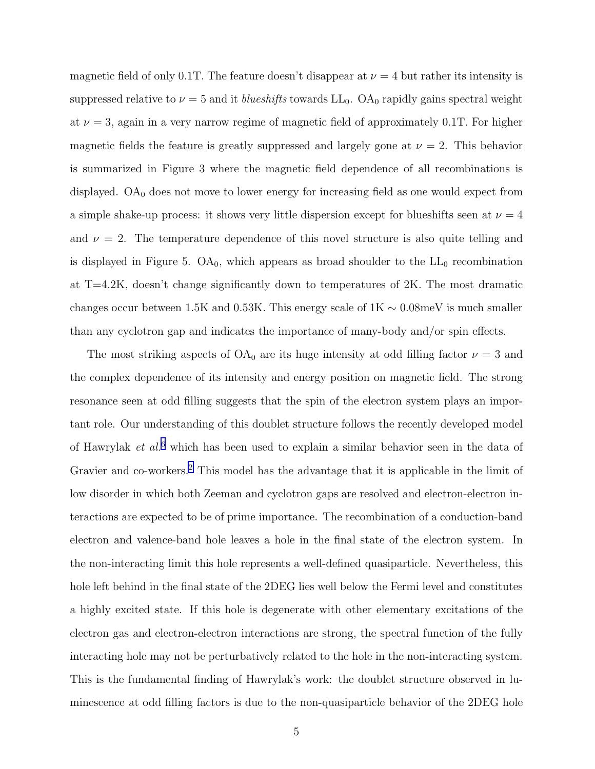magnetic field of only 0.1T. The feature doesn't disappear at  $\nu = 4$  but rather its intensity is suppressed relative to  $\nu = 5$  and it blueshifts towards  $LL_0$ . OA<sub>0</sub> rapidly gains spectral weight at  $\nu = 3$ , again in a very narrow regime of magnetic field of approximately 0.1T. For higher magnetic fields the feature is greatly suppressed and largely gone at  $\nu = 2$ . This behavior is summarized in Figure 3 where the magnetic field dependence of all recombinations is displayed.  $OA_0$  does not move to lower energy for increasing field as one would expect from a simple shake-up process: it shows very little dispersion except for blueshifts seen at  $\nu = 4$ and  $\nu = 2$ . The temperature dependence of this novel structure is also quite telling and is displayed in Figure 5.  $OA<sub>0</sub>$ , which appears as broad shoulder to the  $LL<sub>0</sub>$  recombination at  $T=4.2K$ , doesn't change significantly down to temperatures of  $2K$ . The most dramatic changes occur between 1.5K and 0.53K. This energy scale of  $1K \sim 0.08$  meV is much smaller than any cyclotron gap and indicates the importance of many-body and/or spin effects.

The most striking aspects of  $OA_0$  are its huge intensity at odd filling factor  $\nu = 3$  and the complex dependence of its intensity and energy position on magnetic field. The strong resonance seen at odd filling suggests that the spin of the electron system plays an important role. Our understanding of this doublet structure follows the recently developed model of Hawrylak et  $al^6$  $al^6$  which has been used to explain a similar behavior seen in the data of Gravier and co-workers.[2](#page-7-0) This model has the advantage that it is applicable in the limit of low disorder in which both Zeeman and cyclotron gaps are resolved and electron-electron interactions are expected to be of prime importance. The recombination of a conduction-band electron and valence-band hole leaves a hole in the final state of the electron system. In the non-interacting limit this hole represents a well-defined quasiparticle. Nevertheless, this hole left behind in the final state of the 2DEG lies well below the Fermi level and constitutes a highly excited state. If this hole is degenerate with other elementary excitations of the electron gas and electron-electron interactions are strong, the spectral function of the fully interacting hole may not be perturbatively related to the hole in the non-interacting system. This is the fundamental finding of Hawrylak's work: the doublet structure observed in luminescence at odd filling factors is due to the non-quasiparticle behavior of the 2DEG hole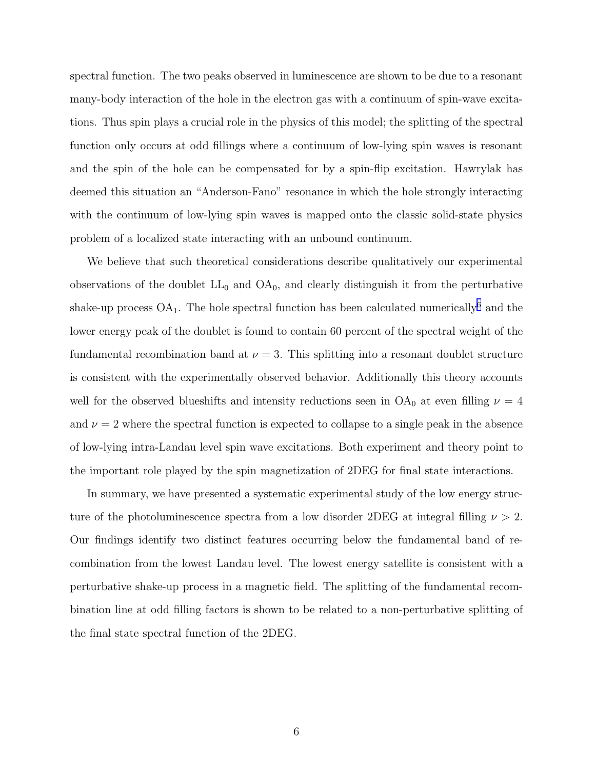spectral function. The two peaks observed in luminescence are shown to be due to a resonant many-body interaction of the hole in the electron gas with a continuum of spin-wave excitations. Thus spin plays a crucial role in the physics of this model; the splitting of the spectral function only occurs at odd fillings where a continuum of low-lying spin waves is resonant and the spin of the hole can be compensated for by a spin-flip excitation. Hawrylak has deemed this situation an "Anderson-Fano" resonance in which the hole strongly interacting with the continuum of low-lying spin waves is mapped onto the classic solid-state physics problem of a localized state interacting with an unbound continuum.

We believe that such theoretical considerations describe qualitatively our experimental observations of the doublet  $LL_0$  and  $OA_0$ , and clearly distinguish it from the perturbative shake-up process  $OA_1$ . The hole spectral function has been calculated numerically<sup>[6](#page-7-0)</sup> and the lower energy peak of the doublet is found to contain 60 percent of the spectral weight of the fundamental recombination band at  $\nu = 3$ . This splitting into a resonant doublet structure is consistent with the experimentally observed behavior. Additionally this theory accounts well for the observed blueshifts and intensity reductions seen in  $OA_0$  at even filling  $\nu = 4$ and  $\nu = 2$  where the spectral function is expected to collapse to a single peak in the absence of low-lying intra-Landau level spin wave excitations. Both experiment and theory point to the important role played by the spin magnetization of 2DEG for final state interactions.

In summary, we have presented a systematic experimental study of the low energy structure of the photoluminescence spectra from a low disorder 2DEG at integral filling  $\nu > 2$ . Our findings identify two distinct features occurring below the fundamental band of recombination from the lowest Landau level. The lowest energy satellite is consistent with a perturbative shake-up process in a magnetic field. The splitting of the fundamental recombination line at odd filling factors is shown to be related to a non-perturbative splitting of the final state spectral function of the 2DEG.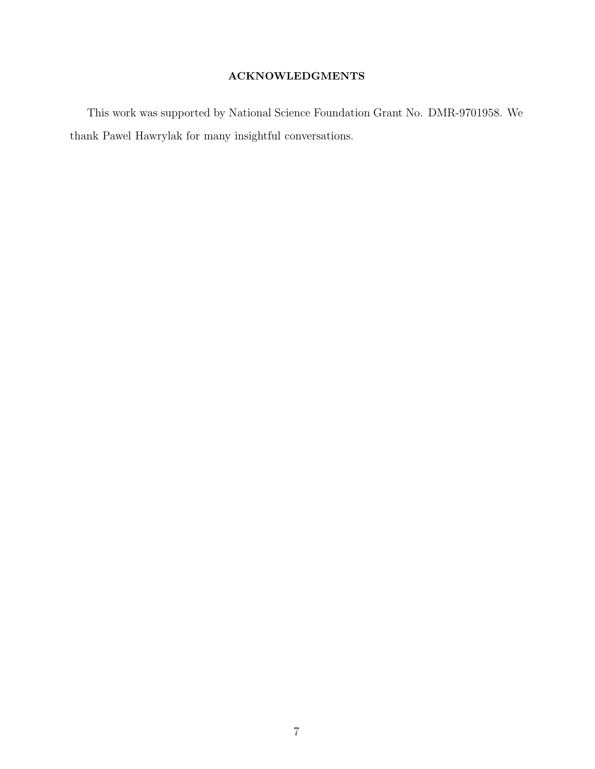### ACKNOWLEDGMENTS

This work was supported by National Science Foundation Grant No. DMR-9701958. We thank Pawel Hawrylak for many insightful conversations.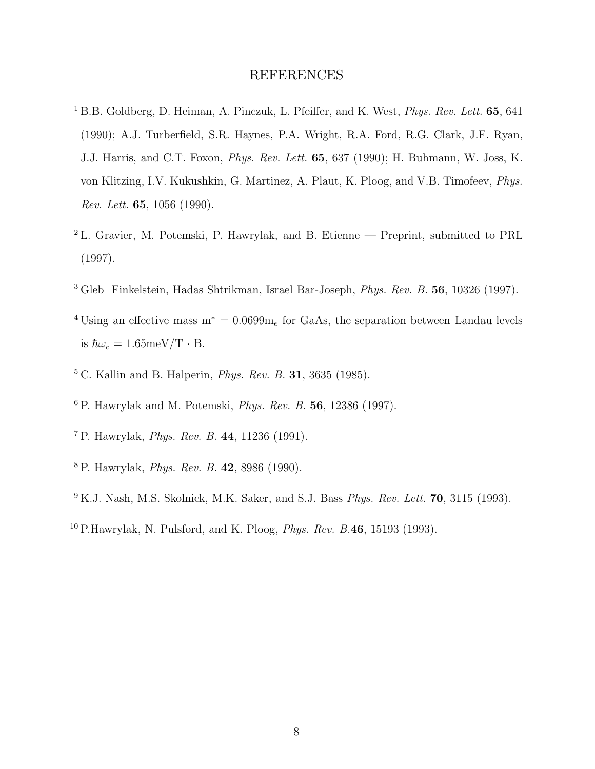#### REFERENCES

- <span id="page-7-0"></span><sup>1</sup> B.B. Goldberg, D. Heiman, A. Pinczuk, L. Pfeiffer, and K. West, *Phys. Rev. Lett.* **65**, 641 (1990); A.J. Turberfield, S.R. Haynes, P.A. Wright, R.A. Ford, R.G. Clark, J.F. Ryan, J.J. Harris, and C.T. Foxon, Phys. Rev. Lett. 65, 637 (1990); H. Buhmann, W. Joss, K. von Klitzing, I.V. Kukushkin, G. Martinez, A. Plaut, K. Ploog, and V.B. Timofeev, Phys. Rev. Lett. 65, 1056 (1990).
- <sup>2</sup> L. Gravier, M. Potemski, P. Hawrylak, and B. Etienne Preprint, submitted to PRL (1997).
- <sup>3</sup> Gleb Finkelstein, Hadas Shtrikman, Israel Bar-Joseph, Phys. Rev. B. 56, 10326 (1997).
- <sup>4</sup> Using an effective mass  $m^* = 0.0699m_e$  for GaAs, the separation between Landau levels is  $\hbar\omega_c = 1.65 \text{meV/T} \cdot \text{B}$ .
- ${}^{5}$  C. Kallin and B. Halperin, *Phys. Rev. B.* **31**, 3635 (1985).
- $6$  P. Hawrylak and M. Potemski, *Phys. Rev. B.* 56, 12386 (1997).
- <sup>7</sup> P. Hawrylak, Phys. Rev. B. 44, 11236 (1991).
- <sup>8</sup> P. Hawrylak, Phys. Rev. B. 42, 8986 (1990).
- $9$  K.J. Nash, M.S. Skolnick, M.K. Saker, and S.J. Bass *Phys. Rev. Lett.* **70**, 3115 (1993).
- $10$  P.Hawrylak, N. Pulsford, and K. Ploog, *Phys. Rev. B.*46, 15193 (1993).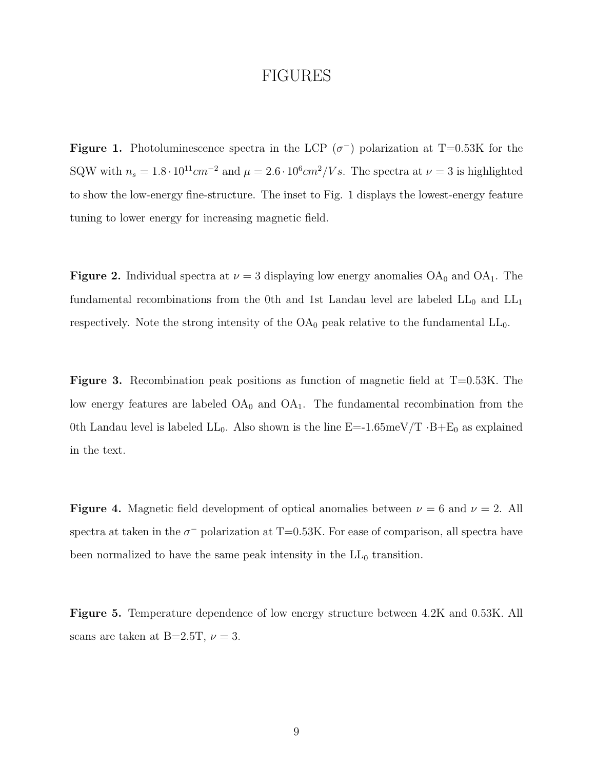## FIGURES

**Figure 1.** Photoluminescence spectra in the LCP  $(\sigma^{-})$  polarization at T=0.53K for the SQW with  $n_s = 1.8 \cdot 10^{11} cm^{-2}$  and  $\mu = 2.6 \cdot 10^6 cm^2/V s$ . The spectra at  $\nu = 3$  is highlighted to show the low-energy fine-structure. The inset to Fig. 1 displays the lowest-energy feature tuning to lower energy for increasing magnetic field.

**Figure 2.** Individual spectra at  $\nu = 3$  displaying low energy anomalies  $OA_0$  and  $OA_1$ . The fundamental recombinations from the 0th and 1st Landau level are labeled  $LL_0$  and  $LL_1$ respectively. Note the strong intensity of the  $OA_0$  peak relative to the fundamental  $LL_0$ .

**Figure 3.** Recombination peak positions as function of magnetic field at  $T=0.53K$ . The low energy features are labeled  $OA_0$  and  $OA_1$ . The fundamental recombination from the 0th Landau level is labeled  $LL_0$ . Also shown is the line  $E=-1.65 \text{meV}/T \cdot B + E_0$  as explained in the text.

**Figure 4.** Magnetic field development of optical anomalies between  $\nu = 6$  and  $\nu = 2$ . All spectra at taken in the  $\sigma^-$  polarization at T=0.53K. For ease of comparison, all spectra have been normalized to have the same peak intensity in the  $LL_0$  transition.

Figure 5. Temperature dependence of low energy structure between 4.2K and 0.53K. All scans are taken at B=2.5T,  $\nu = 3$ .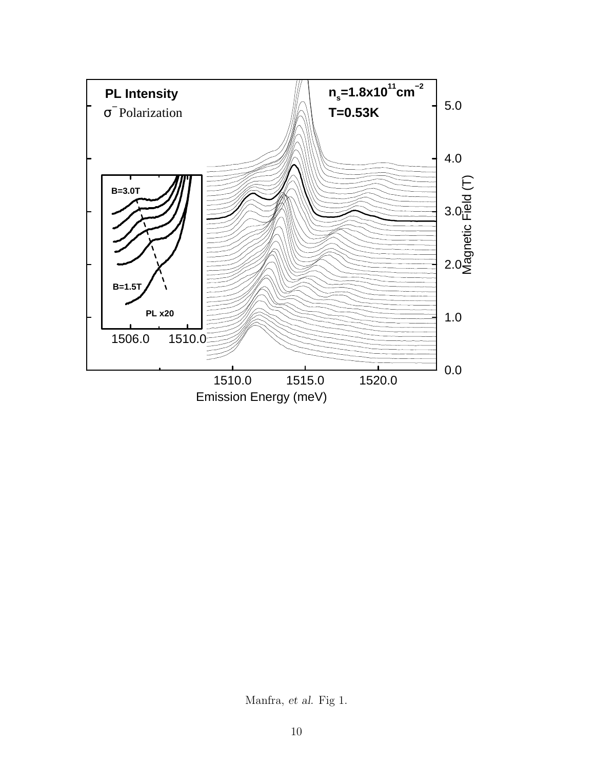

Manfra, et al. Fig 1.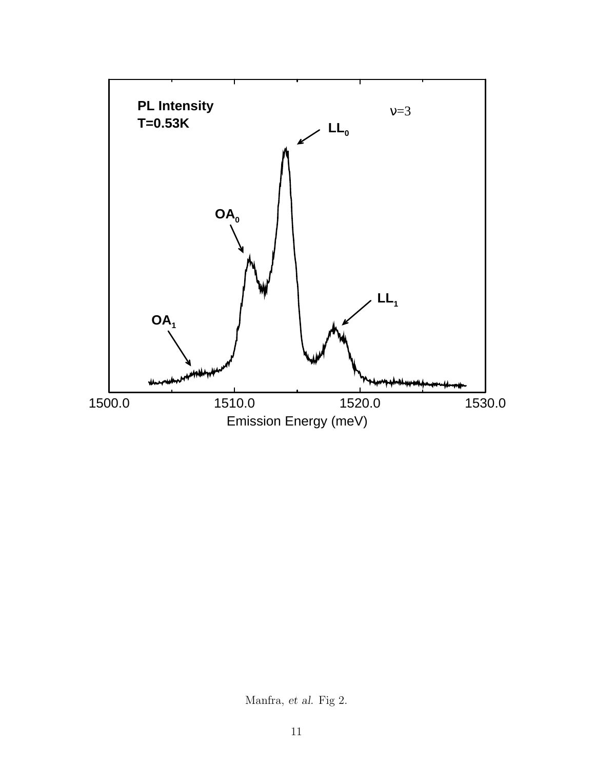

Manfra, et al. Fig 2.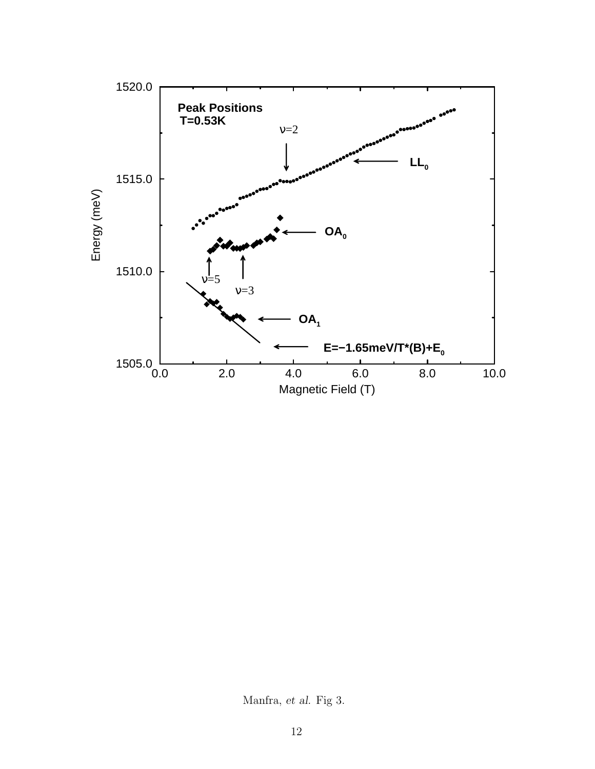

Manfra, et al. Fig 3.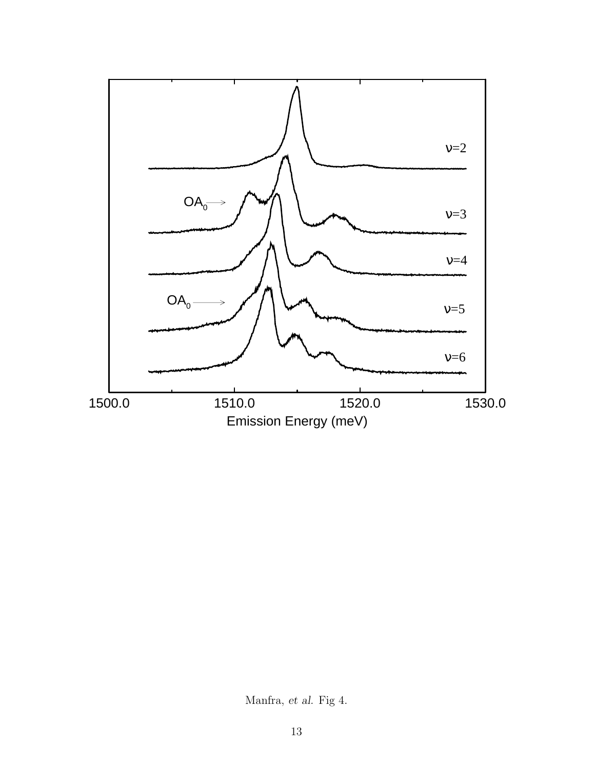

Manfra, et al. Fig 4.